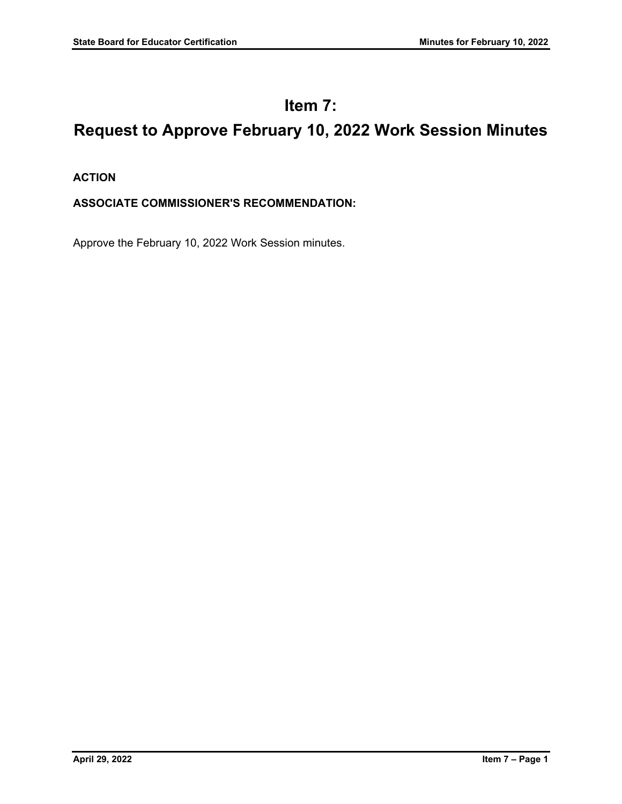# **Item 7:**

# **Request to Approve February 10, 2022 Work Session Minutes**

### **ACTION**

### **ASSOCIATE COMMISSIONER'S RECOMMENDATION:**

Approve the February 10, 2022 Work Session minutes.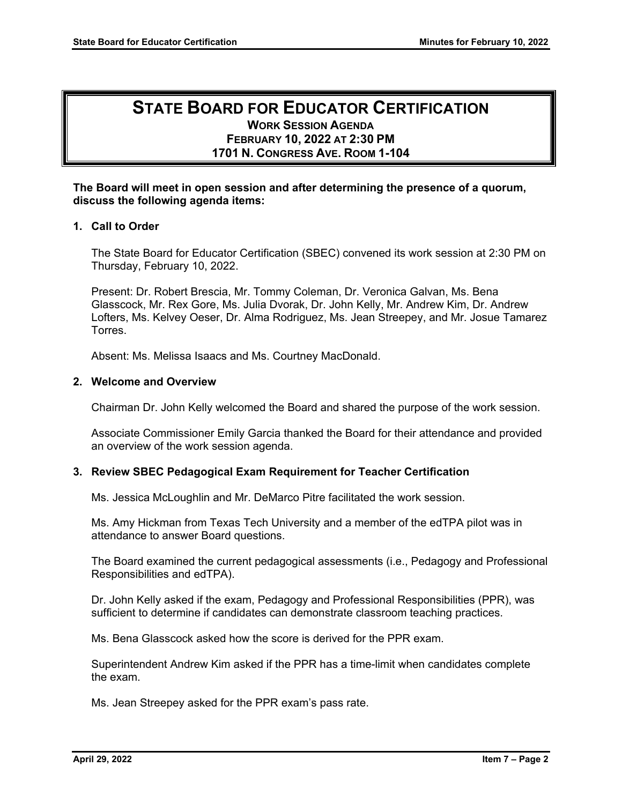## **STATE BOARD FOR EDUCATOR CERTIFICATION WORK SESSION AGENDA FEBRUARY 10, 2022 AT 2:30 PM 1701 N. CONGRESS AVE. ROOM 1-104**

#### **The Board will meet in open session and after determining the presence of a quorum, discuss the following agenda items:**

#### **1. Call to Order**

The State Board for Educator Certification (SBEC) convened its work session at 2:30 PM on Thursday, February 10, 2022.

Present: Dr. Robert Brescia, Mr. Tommy Coleman, Dr. Veronica Galvan, Ms. Bena Glasscock, Mr. Rex Gore, Ms. Julia Dvorak, Dr. John Kelly, Mr. Andrew Kim, Dr. Andrew Lofters, Ms. Kelvey Oeser, Dr. Alma Rodriguez, Ms. Jean Streepey, and Mr. Josue Tamarez Torres.

Absent: Ms. Melissa Isaacs and Ms. Courtney MacDonald.

#### **2. Welcome and Overview**

Chairman Dr. John Kelly welcomed the Board and shared the purpose of the work session.

Associate Commissioner Emily Garcia thanked the Board for their attendance and provided an overview of the work session agenda.

#### **3. Review SBEC Pedagogical Exam Requirement for Teacher Certification**

Ms. Jessica McLoughlin and Mr. DeMarco Pitre facilitated the work session.

Ms. Amy Hickman from Texas Tech University and a member of the edTPA pilot was in attendance to answer Board questions.

The Board examined the current pedagogical assessments (i.e., Pedagogy and Professional Responsibilities and edTPA).

Dr. John Kelly asked if the exam, Pedagogy and Professional Responsibilities (PPR), was sufficient to determine if candidates can demonstrate classroom teaching practices.

Ms. Bena Glasscock asked how the score is derived for the PPR exam.

Superintendent Andrew Kim asked if the PPR has a time-limit when candidates complete the exam.

Ms. Jean Streepey asked for the PPR exam's pass rate.